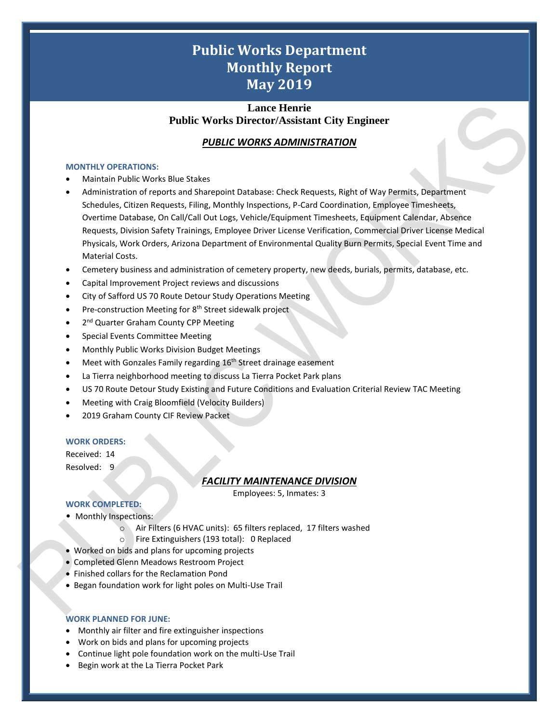# **Public Works Department Monthly Report May 2019**

## **Lance Henrie Public Works Director/Assistant City Engineer**

## *PUBLIC WORKS ADMINISTRATION*

#### **MONTHLY OPERATIONS:**

- Maintain Public Works Blue Stakes
- Administration of reports and Sharepoint Database: Check Requests, Right of Way Permits, Department Schedules, Citizen Requests, Filing, Monthly Inspections, P-Card Coordination, Employee Timesheets, Overtime Database, On Call/Call Out Logs, Vehicle/Equipment Timesheets, Equipment Calendar, Absence Requests, Division Safety Trainings, Employee Driver License Verification, Commercial Driver License Medical Physicals, Work Orders, Arizona Department of Environmental Quality Burn Permits, Special Event Time and Material Costs.
- Cemetery business and administration of cemetery property, new deeds, burials, permits, database, etc.
- Capital Improvement Project reviews and discussions
- City of Safford US 70 Route Detour Study Operations Meeting
- Pre-construction Meeting for 8<sup>th</sup> Street sidewalk project
- 2<sup>nd</sup> Quarter Graham County CPP Meeting
- Special Events Committee Meeting
- Monthly Public Works Division Budget Meetings
- Meet with Gonzales Family regarding 16<sup>th</sup> Street drainage easement
- La Tierra neighborhood meeting to discuss La Tierra Pocket Park plans
- US 70 Route Detour Study Existing and Future Conditions and Evaluation Criterial Review TAC Meeting
- Meeting with Craig Bloomfield (Velocity Builders)
- 2019 Graham County CIF Review Packet

### **WORK ORDERS:**

Received: 14 Resolved: 9

## *FACILITY MAINTENANCE DIVISION*

Employees: 5, Inmates: 3

1

## **WORK COMPLETED:**

- Monthly Inspections:
	- o Air Filters (6 HVAC units): 65 filters replaced, 17 filters washed
	- o Fire Extinguishers (193 total): 0 Replaced
- Worked on bids and plans for upcoming projects
- Completed Glenn Meadows Restroom Project
- Finished collars for the Reclamation Pond
- Began foundation work for light poles on Multi-Use Trail

### **WORK PLANNED FOR JUNE:**

- Monthly air filter and fire extinguisher inspections
- Work on bids and plans for upcoming projects
- Continue light pole foundation work on the multi-Use Trail
- Begin work at the La Tierra Pocket Park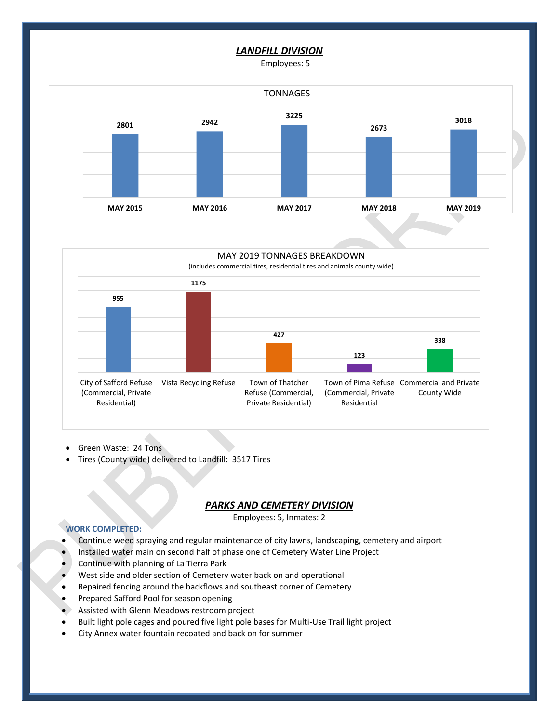### *LANDFILL DIVISION*

Employees: 5





- Green Waste: 24 Tons
- Tires (County wide) delivered to Landfill: 3517 Tires

#### *PARKS AND CEMETERY DIVISION*

Employees: 5, Inmates: 2

2

#### **WORK COMPLETED:**

- Continue weed spraying and regular maintenance of city lawns, landscaping, cemetery and airport
- Installed water main on second half of phase one of Cemetery Water Line Project
- Continue with planning of La Tierra Park
- West side and older section of Cemetery water back on and operational
- Repaired fencing around the backflows and southeast corner of Cemetery
- Prepared Safford Pool for season opening
- Assisted with Glenn Meadows restroom project
- Built light pole cages and poured five light pole bases for Multi-Use Trail light project
- City Annex water fountain recoated and back on for summer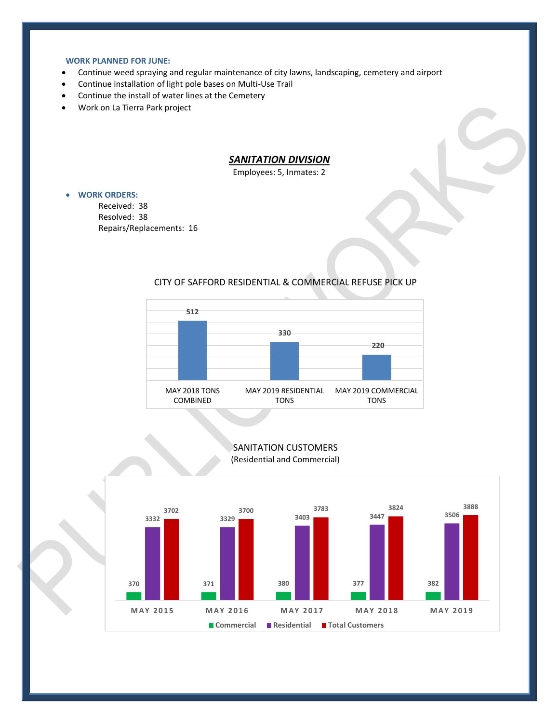#### **WORK PLANNED FOR JUNE:**

- Continue weed spraying and regular maintenance of city lawns, landscaping, cemetery and airport
- Continue installation of light pole bases on Multi-Use Trail
- Continue the install of water lines at the Cemetery
- Work on La Tierra Park project

## *SANITATION DIVISION*

Employees: 5, Inmates: 2

- **WORK ORDERS:**
	- Received: 38 Resolved: 38 Repairs/Replacements: 16

## CITY OF SAFFORD RESIDENTIAL & COMMERCIAL REFUSE PICK UP



## SANITATION CUSTOMERS (Residential and Commercial)



3